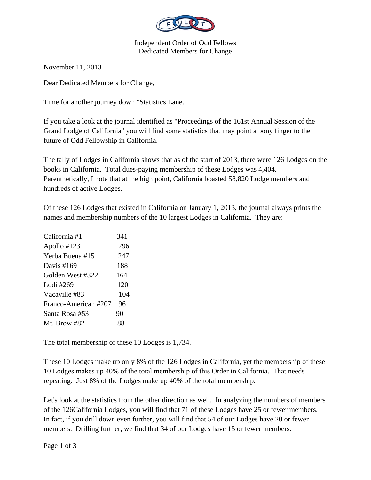

## Independent Order of Odd Fellows Dedicated Members for Change

November 11, 2013

Dear Dedicated Members for Change,

Time for another journey down "Statistics Lane."

If you take a look at the journal identified as "Proceedings of the 161st Annual Session of the Grand Lodge of California" you will find some statistics that may point a bony finger to the future of Odd Fellowship in California.

The tally of Lodges in California shows that as of the start of 2013, there were 126 Lodges on the books in California. Total dues-paying membership of these Lodges was 4,404. Parenthetically, I note that at the high point, California boasted 58,820 Lodge members and hundreds of active Lodges.

Of these 126 Lodges that existed in California on January 1, 2013, the journal always prints the names and membership numbers of the 10 largest Lodges in California. They are:

| California #1        | 341 |
|----------------------|-----|
| Apollo #123          | 296 |
| Yerba Buena #15      | 247 |
| Davis $\#169$        | 188 |
| Golden West #322     | 164 |
| Lodi #269            | 120 |
| Vacaville #83        | 104 |
| Franco-American #207 | 96  |
| Santa Rosa #53       | 90  |
| Mt. Brow $#82$       | 88  |

The total membership of these 10 Lodges is 1,734.

These 10 Lodges make up only 8% of the 126 Lodges in California, yet the membership of these 10 Lodges makes up 40% of the total membership of this Order in California. That needs repeating: Just 8% of the Lodges make up 40% of the total membership.

Let's look at the statistics from the other direction as well. In analyzing the numbers of members of the 126California Lodges, you will find that 71 of these Lodges have 25 or fewer members. In fact, if you drill down even further, you will find that 54 of our Lodges have 20 or fewer members. Drilling further, we find that 34 of our Lodges have 15 or fewer members.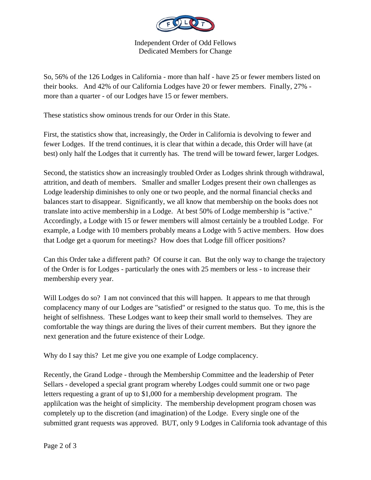

Independent Order of Odd Fellows Dedicated Members for Change

So, 56% of the 126 Lodges in California - more than half - have 25 or fewer members listed on their books. And 42% of our California Lodges have 20 or fewer members. Finally, 27% more than a quarter - of our Lodges have 15 or fewer members.

These statistics show ominous trends for our Order in this State.

First, the statistics show that, increasingly, the Order in California is devolving to fewer and fewer Lodges. If the trend continues, it is clear that within a decade, this Order will have (at best) only half the Lodges that it currently has. The trend will be toward fewer, larger Lodges.

Second, the statistics show an increasingly troubled Order as Lodges shrink through withdrawal, attrition, and death of members. Smaller and smaller Lodges present their own challenges as Lodge leadership diminishes to only one or two people, and the normal financial checks and balances start to disappear. Significantly, we all know that membership on the books does not translate into active membership in a Lodge. At best 50% of Lodge membership is "active." Accordingly, a Lodge with 15 or fewer members will almost certainly be a troubled Lodge. For example, a Lodge with 10 members probably means a Lodge with 5 active members. How does that Lodge get a quorum for meetings? How does that Lodge fill officer positions?

Can this Order take a different path? Of course it can. But the only way to change the trajectory of the Order is for Lodges - particularly the ones with 25 members or less - to increase their membership every year.

Will Lodges do so? I am not convinced that this will happen. It appears to me that through complacency many of our Lodges are "satisfied" or resigned to the status quo. To me, this is the height of selfishness. These Lodges want to keep their small world to themselves. They are comfortable the way things are during the lives of their current members. But they ignore the next generation and the future existence of their Lodge.

Why do I say this? Let me give you one example of Lodge complacency.

Recently, the Grand Lodge - through the Membership Committee and the leadership of Peter Sellars - developed a special grant program whereby Lodges could summit one or two page letters requesting a grant of up to \$1,000 for a membership development program. The applilcation was the height of simplicity. The membership development program chosen was completely up to the discretion (and imagination) of the Lodge. Every single one of the submitted grant requests was approved. BUT, only 9 Lodges in California took advantage of this